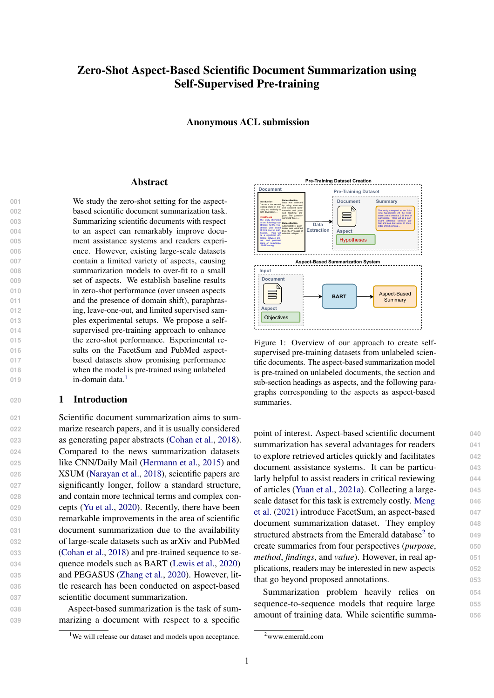# Zero-Shot Aspect-Based Scientific Document Summarization using Self-Supervised Pre-training

Anonymous ACL submission

#### Abstract

 We study the zero-shot setting for the aspect- based scientific document summarization task. Summarizing scientific documents with respect to an aspect can remarkably improve docu- ment assistance systems and readers experi- ence. However, existing large-scale datasets contain a limited variety of aspects, causing summarization models to over-fit to a small set of aspects. We establish baseline results in zero-shot performance (over unseen aspects and the presence of domain shift), paraphras- ing, leave-one-out, and limited supervised sam- ples experimental setups. We propose a self- supervised pre-training approach to enhance the zero-shot performance. Experimental re-016 sults on the FacetSum and PubMed aspect- based datasets show promising performance when the model is pre-trained using unlabeled in-domain data $<sup>1</sup>$  $<sup>1</sup>$  $<sup>1</sup>$ </sup>

## **<sup>020</sup>** 1 Introduction

**019**

 Scientific document summarization aims to sum- marize research papers, and it is usually considered as generating paper abstracts [\(Cohan et al.,](#page-8-0) [2018\)](#page-8-0). Compared to the news summarization datasets like CNN/Daily Mail [\(Hermann et al.,](#page-8-1) [2015\)](#page-8-1) and XSUM [\(Narayan et al.,](#page-9-0) [2018\)](#page-9-0), scientific papers are 027 significantly longer, follow a standard structure, and contain more technical terms and complex con- cepts [\(Yu et al.,](#page-9-1) [2020\)](#page-9-1). Recently, there have been remarkable improvements in the area of scientific document summarization due to the availability of large-scale datasets such as arXiv and PubMed [\(Cohan et al.,](#page-8-0) [2018\)](#page-8-0) and pre-trained sequence to se- quence models such as BART [\(Lewis et al.,](#page-8-2) [2020\)](#page-8-2) and PEGASUS [\(Zhang et al.,](#page-10-0) [2020\)](#page-10-0). However, lit- tle research has been conducted on aspect-based scientific document summarization.

**038** Aspect-based summarization is the task of sum-**039** marizing a document with respect to a specific

<span id="page-0-2"></span>

Figure 1: Overview of our approach to create selfsupervised pre-training datasets from unlabeled scientific documents. The aspect-based summarization model is pre-trained on unlabeled documents, the section and sub-section headings as aspects, and the following paragraphs corresponding to the aspects as aspect-based summaries.

point of interest. Aspect-based scientific document **040** summarization has several advantages for readers **041** to explore retrieved articles quickly and facilitates **042** document assistance systems. It can be particu- **043** larly helpful to assist readers in critical reviewing **044** of articles [\(Yuan et al.,](#page-9-2) [2021a\)](#page-9-2). Collecting a large- **045** [s](#page-9-3)cale dataset for this task is extremely costly. [Meng](#page-9-3) **046** [et al.](#page-9-3) [\(2021\)](#page-9-3) introduce FacetSum, an aspect-based **047** document summarization dataset. They employ **048** structured abstracts from the Emerald database<sup>[2](#page-0-1)</sup> to 049 create summaries from four perspectives (*purpose*, **050** *method*, *findings*, and *value*). However, in real ap- **051** plications, readers may be interested in new aspects **052** that go beyond proposed annotations. **053**

Summarization problem heavily relies on **054** sequence-to-sequence models that require large **055** amount of training data. While scientific summa- **056**

<span id="page-0-0"></span><sup>&</sup>lt;sup>1</sup>We will release our dataset and models upon acceptance.

<span id="page-0-1"></span><sup>2</sup>www.emerald.com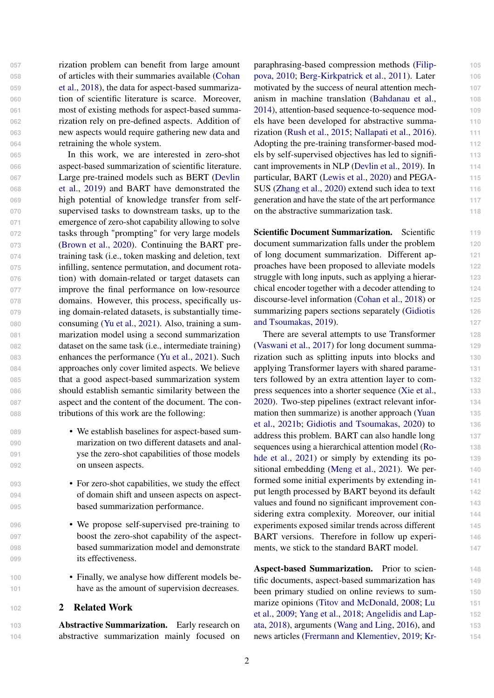[o](#page-8-0)f articles with their summaries available [\(Cohan](#page-8-0) [et al.,](#page-8-0) [2018\)](#page-8-0), the data for aspect-based summariza-060 tion of scientific literature is scarce. Moreover, most of existing methods for aspect-based summa- rization rely on pre-defined aspects. Addition of new aspects would require gathering new data and retraining the whole system. In this work, we are interested in zero-shot aspect-based summarization of scientific literature. [L](#page-8-3)arge pre-trained models such as BERT [\(Devlin](#page-8-3) [et al.,](#page-8-3) [2019\)](#page-8-3) and BART have demonstrated the high potential of knowledge transfer from self- supervised tasks to downstream tasks, up to the emergence of zero-shot capability allowing to solve tasks through "prompting" for very large models [\(Brown et al.,](#page-8-4) [2020\)](#page-8-4). Continuing the BART pre- training task (i.e., token masking and deletion, text infilling, sentence permutation, and document rota-

- **076** tion) with domain-related or target datasets can **077** improve the final performance on low-resource **078** domains. However, this process, specifically us-
- **081** marization model using a second summarization

**082** dataset on the same task (i.e., intermediate training) **083** enhances the performance [\(Yu et al.,](#page-9-4) [2021\)](#page-9-4). Such

**084** approaches only cover limited aspects. We believe **085** that a good aspect-based summarization system

**087** aspect and the content of the document. The con-

**088** tributions of this work are the following:

**089** • We establish baselines for aspect-based sum-**090** marization on two different datasets and anal-

**091** yse the zero-shot capabilities of those models **092** on unseen aspects.

**093** • For zero-shot capabilities, we study the effect

**094** of domain shift and unseen aspects on aspect-**095** based summarization performance.

**096** • We propose self-supervised pre-training to

**097** boost the zero-shot capability of the aspect-**098** based summarization model and demonstrate

**099** its effectiveness.

**100** • Finally, we analyse how different models be-

**<sup>102</sup>** 2 Related Work

**103** Abstractive Summarization. Early research on **104** abstractive summarization mainly focused on

**101** have as the amount of supervision decreases.

**057** rization problem can benefit from large amount

**079** ing domain-related datasets, is substantially time-080 **consuming [\(Yu et al.,](#page-9-4) [2021\)](#page-9-4).** Also, training a sum-

**086** should establish semantic similarity between the

[p](#page-8-5)araphrasing-based compression methods [\(Filip-](#page-8-5) **105** [pova,](#page-8-5) [2010;](#page-8-5) [Berg-Kirkpatrick et al.,](#page-8-6) [2011\)](#page-8-6). Later **106** motivated by the success of neural attention mech- **107** anism in machine translation [\(Bahdanau et al.,](#page-8-7) **108** [2014\)](#page-8-7), attention-based sequence-to-sequence mod- **109** els have been developed for abstractive summa- **110** rization [\(Rush et al.,](#page-9-5) [2015;](#page-9-5) [Nallapati et al.,](#page-9-6) [2016\)](#page-9-6). **111** Adopting the pre-training transformer-based mod- **112** els by self-supervised objectives has led to signifi- **113** cant improvements in NLP [\(Devlin et al.,](#page-8-3) [2019\)](#page-8-3). In **114** particular, BART [\(Lewis et al.,](#page-8-2) [2020\)](#page-8-2) and PEGA- **115** SUS [\(Zhang et al.,](#page-10-0) [2020\)](#page-10-0) extend such idea to text **116** generation and have the state of the art performance **117** on the abstractive summarization task. **118**

Scientific Document Summarization. Scientific 119 document summarization falls under the problem **120** of long document summarization. Different ap- **121** proaches have been proposed to alleviate models **122** struggle with long inputs, such as applying a hierar- **123** chical encoder together with a decoder attending to **124** discourse-level information [\(Cohan et al.,](#page-8-0) [2018\)](#page-8-0) or **125** [s](#page-8-8)ummarizing papers sections separately [\(Gidiotis](#page-8-8) **126** [and Tsoumakas,](#page-8-8) [2019\)](#page-8-8). **127**

There are several attempts to use Transformer **128** [\(Vaswani et al.,](#page-9-7) [2017\)](#page-9-7) for long document summa- **129** rization such as splitting inputs into blocks and **130** applying Transformer layers with shared parame- **131** ters followed by an extra attention layer to com- **132** press sequences into a shorter sequence [\(Xie et al.,](#page-9-8) **133** [2020\)](#page-9-8). Two-step pipelines (extract relevant infor- **134** [m](#page-9-9)ation then summarize) is another approach [\(Yuan](#page-9-9) **135** [et al.,](#page-9-9) [2021b;](#page-9-9) [Gidiotis and Tsoumakas,](#page-8-9) [2020\)](#page-8-9) to **136** address this problem. BART can also handle long **137** [s](#page-9-10)equences using a hierarchical attention model [\(Ro-](#page-9-10) **138** [hde et al.,](#page-9-10) [2021\)](#page-9-10) or simply by extending its positional embedding [\(Meng et al.,](#page-9-3) [2021\)](#page-9-3). We per- **140** formed some initial experiments by extending in- **141** put length processed by BART beyond its default **142** values and found no significant improvement con- **143** sidering extra complexity. Moreover, our initial 144 experiments exposed similar trends across different **145** BART versions. Therefore in follow up experi- **146** ments, we stick to the standard BART model. **147**

Aspect-based Summarization. Prior to scien- **148** tific documents, aspect-based summarization has **149** been primary studied on online reviews to sum- **150** [m](#page-9-12)arize opinions [\(Titov and McDonald,](#page-9-11) [2008;](#page-9-11) [Lu](#page-9-12) 151 [et al.,](#page-9-12) [2009;](#page-9-12) [Yang et al.,](#page-9-13) [2018;](#page-9-13) [Angelidis and Lap-](#page-8-10) **152** [ata,](#page-8-10) [2018\)](#page-8-10), arguments [\(Wang and Ling,](#page-9-14) [2016\)](#page-9-14), and **153** [n](#page-8-12)ews articles [\(Frermann and Klementiev,](#page-8-11) [2019;](#page-8-11) [Kr-](#page-8-12) **154**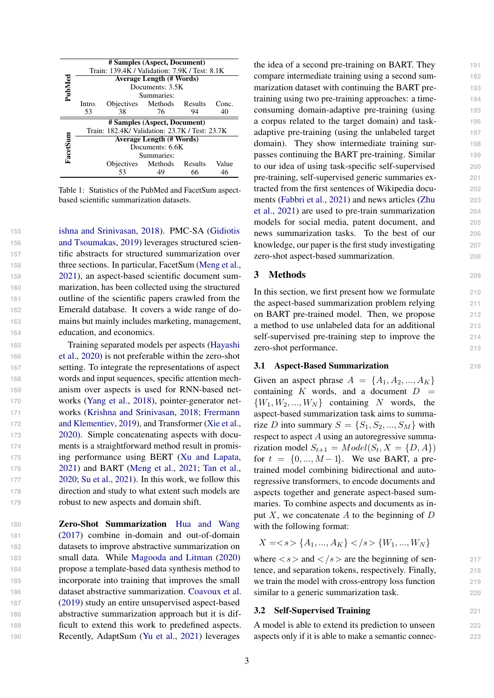<span id="page-2-0"></span>

|          | # Samples (Aspect, Document)                   |                                 |                 |    |       |  |  |  |  |
|----------|------------------------------------------------|---------------------------------|-----------------|----|-------|--|--|--|--|
|          | Train: 139.4K / Validation: 7.9K / Test: 8.1K  |                                 |                 |    |       |  |  |  |  |
| PubMed   |                                                | <b>Average Length (# Words)</b> |                 |    |       |  |  |  |  |
|          |                                                |                                 | Documents: 3.5K |    |       |  |  |  |  |
|          |                                                | Summaries:                      |                 |    |       |  |  |  |  |
|          | Intro.                                         | Objectives Methods Results      |                 |    | Conc. |  |  |  |  |
|          | 53                                             | 38                              | 76              | 94 | 40    |  |  |  |  |
|          | # Samples (Aspect, Document)                   |                                 |                 |    |       |  |  |  |  |
|          | Train: 182.4K/ Validation: 23.7K / Test: 23.7K |                                 |                 |    |       |  |  |  |  |
|          | <b>Average Length (# Words)</b>                |                                 |                 |    |       |  |  |  |  |
| FacetSun | Documents: 6.6K                                |                                 |                 |    |       |  |  |  |  |
|          |                                                | Summaries:                      |                 |    |       |  |  |  |  |
|          |                                                | Objectives Methods Results      |                 |    | Value |  |  |  |  |
|          |                                                | 53                              | 49              | 66 | 46    |  |  |  |  |

Table 1: Statistics of the PubMed and FacetSum aspectbased scientific summarization datasets.

 [ishna and Srinivasan,](#page-8-12) [2018\)](#page-8-12). PMC-SA [\(Gidiotis](#page-8-8) [and Tsoumakas,](#page-8-8) [2019\)](#page-8-8) leverages structured scien- tific abstracts for structured summarization over three sections. In particular, FacetSum [\(Meng et al.,](#page-9-3) [2021\)](#page-9-3), an aspect-based scientific document sum- marization, has been collected using the structured outline of the scientific papers crawled from the Emerald database. It covers a wide range of do- mains but mainly includes marketing, management, education, and economics.

 Training separated models per aspects [\(Hayashi](#page-8-13) [et al.,](#page-8-13) [2020\)](#page-8-13) is not preferable within the zero-shot setting. To integrate the representations of aspect words and input sequences, specific attention mech- anism over aspects is used for RNN-based net- works [\(Yang et al.,](#page-9-13) [2018\)](#page-9-13), pointer-generator net- [w](#page-8-11)orks [\(Krishna and Srinivasan,](#page-8-12) [2018;](#page-8-12) [Frermann](#page-8-11) [and Klementiev,](#page-8-11) [2019\)](#page-8-11), and Transformer [\(Xie et al.,](#page-9-8) [2020\)](#page-9-8). Simple concatenating aspects with docu- ments is a straightforward method result in promis- ing performance using BERT [\(Xu and Lapata,](#page-9-15) [2021\)](#page-9-15) and BART [\(Meng et al.,](#page-9-3) [2021;](#page-9-3) [Tan et al.,](#page-9-16) [2020;](#page-9-16) [Su et al.,](#page-9-17) [2021\)](#page-9-17). In this work, we follow this direction and study to what extent such models are robust to new aspects and domain shift.

 Zero-Shot Summarization [Hua and Wang](#page-8-14) [\(2017\)](#page-8-14) combine in-domain and out-of-domain datasets to improve abstractive summarization on small data. While [Magooda and Litman](#page-9-18) [\(2020\)](#page-9-18) propose a template-based data synthesis method to incorporate into training that improves the small dataset abstractive summarization. [Coavoux et al.](#page-8-15) [\(2019\)](#page-8-15) study an entire unsupervised aspect-based abstractive summarization approach but it is dif- ficult to extend this work to predefined aspects. Recently, AdaptSum [\(Yu et al.,](#page-9-4) [2021\)](#page-9-4) leverages

the idea of a second pre-training on BART. They **191** compare intermediate training using a second sum- **192** marization dataset with continuing the BART pre- **193** training using two pre-training approaches: a time- **194** consuming domain-adaptive pre-training (using **195** a corpus related to the target domain) and task- **196** adaptive pre-training (using the unlabeled target **197** domain). They show intermediate training sur- **198** passes continuing the BART pre-training. Similar **199** to our idea of using task-specific self-supervised **200** pre-training, self-supervised generic summaries ex- **201** tracted from the first sentences of Wikipedia docu- **202** [m](#page-10-1)ents [\(Fabbri et al.,](#page-8-16) [2021\)](#page-8-16) and news articles [\(Zhu](#page-10-1) **203** [et al.,](#page-10-1) [2021\)](#page-10-1) are used to pre-train summarization **204** models for social media, patent document, and **205** news summarization tasks. To the best of our **206** knowledge, our paper is the first study investigating **207** zero-shot aspect-based summarization. **208**

# 3 Methods **<sup>209</sup>**

In this section, we first present how we formulate **210** the aspect-based summarization problem relying **211** on BART pre-trained model. Then, we propose **212** a method to use unlabeled data for an additional **213** self-supervised pre-training step to improve the **214** zero-shot performance. **215**

#### 3.1 Aspect-Based Summarization **216**

Given an aspect phrase  $A = \{A_1, A_2, ..., A_K\}$ containing K words, and a document  $D =$  $\{W_1, W_2, ..., W_N\}$  containing N words, the aspect-based summarization task aims to summarize D into summary  $S = \{S_1, S_2, ..., S_M\}$  with respect to aspect  $A$  using an autoregressive summarization model  $S_{t+1} = Model(S_t, X = \{D, A\})$ for  $t = \{0, ..., M-1\}$ . We use BART, a pretrained model combining bidirectional and autoregressive transformers, to encode documents and aspects together and generate aspect-based summaries. To combine aspects and documents as input  $X$ , we concatenate  $A$  to the beginning of  $D$ with the following format:

$$
X =  ~~\{A_1, ..., A_K\} < /s> \{W_1, ..., W_N\}~~
$$

where  $\langle s \rangle$  and  $\langle s \rangle$  are the beginning of sen-<br>217 tence, and separation tokens, respectively. Finally, **218** we train the model with cross-entropy loss function **219** similar to a generic summarization task. 220

# <span id="page-2-1"></span>3.2 Self-Supervised Training **221**

A model is able to extend its prediction to unseen **222** aspects only if it is able to make a semantic connec- **223**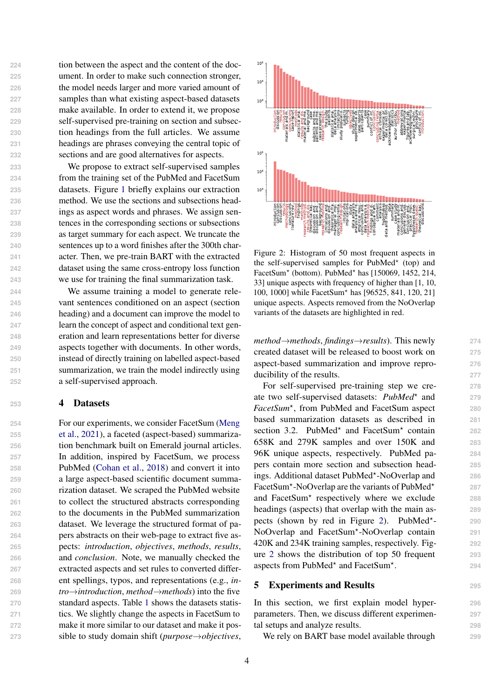tion between the aspect and the content of the doc- ument. In order to make such connection stronger, the model needs larger and more varied amount of samples than what existing aspect-based datasets make available. In order to extend it, we propose self-supervised pre-training on section and subsec- tion headings from the full articles. We assume headings are phrases conveying the central topic of sections and are good alternatives for aspects.

 We propose to extract self-supervised samples from the training set of the PubMed and FacetSum datasets. Figure [1](#page-0-2) briefly explains our extraction method. We use the sections and subsections head- ings as aspect words and phrases. We assign sen- tences in the corresponding sections or subsections as target summary for each aspect. We truncate the sentences up to a word finishes after the 300th char- acter. Then, we pre-train BART with the extracted dataset using the same cross-entropy loss function we use for training the final summarization task.

 We assume training a model to generate rele- vant sentences conditioned on an aspect (section heading) and a document can improve the model to learn the concept of aspect and conditional text gen- eration and learn representations better for diverse aspects together with documents. In other words, instead of directly training on labelled aspect-based summarization, we train the model indirectly using a self-supervised approach.

## **<sup>253</sup>** 4 Datasets

 [F](#page-9-3)or our experiments, we consider FacetSum [\(Meng](#page-9-3) [et al.,](#page-9-3) [2021\)](#page-9-3), a faceted (aspect-based) summariza- tion benchmark built on Emerald journal articles. In addition, inspired by FacetSum, we process PubMed [\(Cohan et al.,](#page-8-0) [2018\)](#page-8-0) and convert it into a large aspect-based scientific document summa- rization dataset. We scraped the PubMed website to collect the structured abstracts corresponding to the documents in the PubMed summarization dataset. We leverage the structured format of pa- pers abstracts on their web-page to extract five as- pects: *introduction*, *objectives*, *methods*, *results*, and *conclusion*. Note, we manually checked the extracted aspects and set rules to converted differ- ent spellings, typos, and representations (e.g., *in- tro*→*introduction*, *method*→*methods*) into the five standard aspects. Table [1](#page-2-0) shows the datasets statis- tics. We slightly change the aspects in FacetSum to make it more similar to our dataset and make it posand A synchion. The function of the physical state and the state of the state of the state of the state of the state of the state of the state of the state of the state of the state of the state of the state of the state

<span id="page-3-0"></span>

Figure 2: Histogram of 50 most frequent aspects in the self-supervised samples for PubMed<sup>\*</sup> (top) and FacetSum<sup>\*</sup> (bottom). PubMed<sup>\*</sup> has [150069, 1452, 214, 33] unique aspects with frequency of higher than [1, 10, 100, 1000] while FacetSum<sup>\*</sup> has [96525, 841, 120, 21] unique aspects. Aspects removed from the NoOverlap variants of the datasets are highlighted in red.

*method*→*methods*, *findings*→*results*). This newly **274** created dataset will be released to boost work on **275** aspect-based summarization and improve repro- **276** ducibility of the results. **277**

For self-supervised pre-training step we cre- **278** ate two self-supervised datasets:  $PubMed^*$  and 279 *FacetSum*<sup>⋆</sup> , from PubMed and FacetSum aspect **280** based summarization datasets as described in **281** section 3.2. PubMed<sup>\*</sup> and FacetSum<sup>\*</sup> contain 282 658K and 279K samples and over 150K and **283** 96K unique aspects, respectively. PubMed pa- **284** pers contain more section and subsection head- **285** ings. Additional dataset PubMed<sup>\*</sup>-NoOverlap and 286 FacetSum<sup>\*</sup>-NoOverlap are the variants of PubMed<sup>\*</sup> and FacetSum<sup>\*</sup> respectively where we exclude 288 headings (aspects) that overlap with the main as- **289** pects (shown by red in Figure [2\)](#page-3-0). PubMed<sup>\*</sup>-NoOverlap and FacetSum<sup>\*</sup>-NoOverlap contain 291 420K and 234K training samples, respectively. Fig- **292** ure [2](#page-3-0) shows the distribution of top 50 frequent **293** aspects from PubMed<sup>\*</sup> and FacetSum<sup>\*</sup> . **294**

**287**

- **290**

# 5 Experiments and Results **<sup>295</sup>**

In this section, we first explain model hyper- **296** parameters. Then, we discuss different experimen- **297** tal setups and analyze results. **298**

We rely on BART base model available through **299**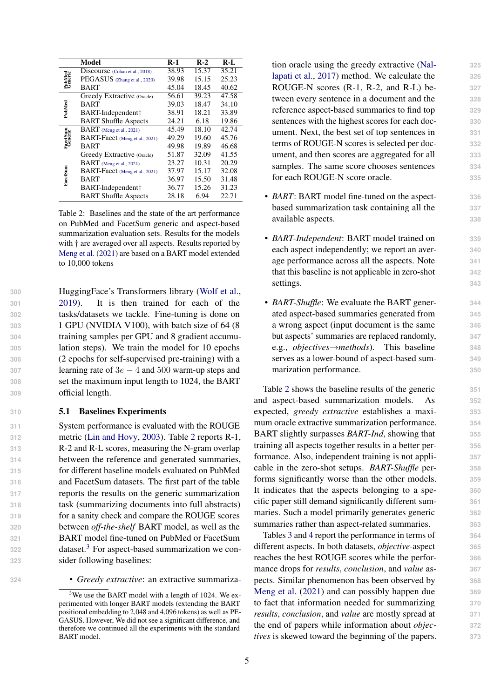<span id="page-4-0"></span>

|                    | Model                          | <b>R-1</b> | $R-2$ | $R-I$ |
|--------------------|--------------------------------|------------|-------|-------|
| PubMed<br>Generic  | Discourse (Cohan et al., 2018) | 38.93      | 15.37 | 35.21 |
|                    | PEGASUS (Zhang et al., 2020)   | 39.98      | 15.15 | 25.23 |
|                    | BART                           | 45.04      | 18.45 | 40.62 |
|                    | Greedy Extractive (Oracle)     | 56.61      | 39.23 | 47.58 |
|                    | BART                           | 39.03      | 18.47 | 34.10 |
| PubMed             | BART-Independent†              | 38.91      | 18.21 | 33.89 |
|                    | <b>BART Shuffle Aspects</b>    | 24.21      | 6.18  | 19.86 |
|                    | BART (Meng et al., 2021)       | 45.49      | 18.10 | 42.74 |
| FaceSum<br>Generic | BART-Facet (Meng et al., 2021) | 49.29      | 19.60 | 45.76 |
|                    | BART                           | 49.98      | 19.89 | 46.68 |
|                    | Greedy Extractive (Oracle)     | 51.87      | 32.09 | 41.55 |
|                    | BART (Meng et al., 2021)       | 23.27      | 10.31 | 20.29 |
|                    | BART-Facet (Meng et al., 2021) | 37.97      | 15.17 | 32.08 |
| FacetSum           | BART                           | 36.97      | 15.50 | 31.48 |
|                    | BART-Independent†              | 36.77      | 15.26 | 31.23 |
|                    | <b>BART Shuffle Aspects</b>    | 28.18      | 6.94  | 22.71 |

Table 2: Baselines and the state of the art performance on PubMed and FacetSum generic and aspect-based summarization evaluation sets. Results for the models with  $\dagger$  are averaged over all aspects. Results reported by [Meng et al.](#page-9-3) [\(2021\)](#page-9-3) are based on a BART model extended to 10,000 tokens

 HuggingFace's Transformers library [\(Wolf et al.,](#page-9-19) [2019\)](#page-9-19). It is then trained for each of the tasks/datasets we tackle. Fine-tuning is done on 1 GPU (NVIDIA V100), with batch size of 64 (8 training samples per GPU and 8 gradient accumu- lation steps). We train the model for 10 epochs (2 epochs for self-supervised pre-training) with a learning rate of 3e − 4 and 500 warm-up steps and set the maximum input length to 1024, the BART official length.

#### <span id="page-4-2"></span>**310** 5.1 Baselines Experiments

 System performance is evaluated with the ROUGE metric [\(Lin and Hovy,](#page-8-17) [2003\)](#page-8-17). Table [2](#page-4-0) reports R-1, R-2 and R-L scores, measuring the N-gram overlap between the reference and generated summaries, for different baseline models evaluated on PubMed and FacetSum datasets. The first part of the table reports the results on the generic summarization task (summarizing documents into full abstracts) for a sanity check and compare the ROUGE scores between *off-the-shelf* BART model, as well as the BART model fine-tuned on PubMed or FacetSum 22 dataset.<sup>3</sup> For aspect-based summarization we con-sider following baselines:

tion oracle using the greedy extractive [\(Nal-](#page-9-20) **325** [lapati et al.,](#page-9-20) [2017\)](#page-9-20) method. We calculate the **326** ROUGE-N scores (R-1, R-2, and R-L) be- **327** tween every sentence in a document and the **328** reference aspect-based summaries to find top **329** sentences with the highest scores for each doc- **330** ument. Next, the best set of top sentences in **331** terms of ROUGE-N scores is selected per doc- **332** ument, and then scores are aggregated for all **333** samples. The same score chooses sentences 334 for each ROUGE-N score oracle. **335**

- *BART*: BART model fine-tuned on the aspect- **336** based summarization task containing all the **337** available aspects. **338**
- *BART-Independent*: BART model trained on **339** each aspect independently; we report an aver- **340** age performance across all the aspects. Note **341** that this baseline is not applicable in zero-shot **342** settings. 343
- *BART-Shuffle*: We evaluate the BART gener- **344** ated aspect-based summaries generated from **345** a wrong aspect (input document is the same **346** but aspects' summaries are replaced randomly, **347** e.g., *objectives*→*methods*). This baseline **348** serves as a lower-bound of aspect-based sum- **349** marization performance. **350**

Table [2](#page-4-0) shows the baseline results of the generic **351** and aspect-based summarization models. As **352** expected, *greedy extractive* establishes a maxi- **353** mum oracle extractive summarization performance. **354** BART slightly surpasses *BART-Ind*, showing that **355** training all aspects together results in a better per- **356** formance. Also, independent training is not appli- **357** cable in the zero-shot setups. *BART-Shuffle* per- **358** forms significantly worse than the other models. **359** It indicates that the aspects belonging to a spe- **360** cific paper still demand significantly different sum- **361** maries. Such a model primarily generates generic **362** summaries rather than aspect-related summaries. **363**

Tables [3](#page-5-0) and [4](#page-5-1) report the performance in terms of **364** different aspects. In both datasets, *objective*-aspect **365** reaches the best ROUGE scores while the perfor- **366** mance drops for *results*, *conclusion*, and *value* as- **367** pects. Similar phenomenon has been observed by **368** [Meng et al.](#page-9-3) [\(2021\)](#page-9-3) and can possibly happen due **369** to fact that information needed for summarizing **370** *results*, *conclusion*, and *value* are mostly spread at **371** the end of papers while information about *objec-* **372** *tives* is skewed toward the beginning of the papers. **373**

**<sup>324</sup>** • *Greedy extractive*: an extractive summariza-

<span id="page-4-1"></span> $3$ We use the BART model with a length of 1024. We experimented with longer BART models (extending the BART positional embedding to 2,048 and 4,096 tokens) as well as PE-GASUS. However, We did not see a significant difference, and therefore we continued all the experiments with the standard BART model.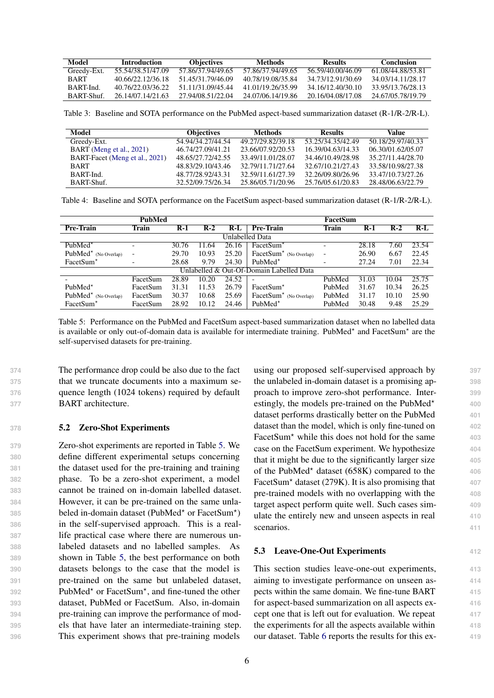<span id="page-5-0"></span>

| Model            | <b>Introduction</b> | <b>Objectives</b> | Methods           | Results           | Conclusion        |
|------------------|---------------------|-------------------|-------------------|-------------------|-------------------|
| Greedy-Ext.      | 55.54/38.51/47.09   | 57.86/37.94/49.65 | 57.86/37.94/49.65 | 56.59/40.00/46.09 | 61.08/44.88/53.81 |
| <b>RART</b>      | 40.66/22.12/36.18   | 51.45/31.79/46.09 | 40.78/19.08/35.84 | 34.73/12.91/30.69 | 34.03/14.11/28.17 |
| RART-Ind         | 40 76/22 03/36 22   | 51 11/31 09/45 44 | 41.01/19.26/35.99 | 34.16/12.40/30.10 | 33.95/13.76/28.13 |
| <b>BART-Shuf</b> | 26.14/07.14/21.63   | 27.94/08.51/22.04 | 24.07/06.14/19.86 | 20.16/04.08/17.08 | 24.67/05.78/19.79 |

Table 3: Baseline and SOTA performance on the PubMed aspect-based summarization dataset (R-1/R-2/R-L).

<span id="page-5-1"></span>

| Model                          | <b>Objectives</b> | <b>Methods</b>    | <b>Results</b>    | Value             |
|--------------------------------|-------------------|-------------------|-------------------|-------------------|
| Greedy-Ext.                    | 54.94/34.27/44.54 | 49.27/29.82/39.18 | 53.25/34.35/42.49 | 50.18/29.97/40.33 |
| BART (Meng et al., 2021)       | 46.74/27.09/41.21 | 23.66/07.92/20.53 | 16.39/04.63/14.33 | 06.30/01.62/05.07 |
| BART-Facet (Meng et al., 2021) | 48.65/27.72/42.55 | 33.49/11.01/28.07 | 34.46/10.49/28.98 | 35.27/11.44/28.70 |
| <b>BART</b>                    | 48.83/29.10/43.46 | 32.79/11.71/27.64 | 32.67/10.21/27.43 | 33.58/10.98/27.38 |
| BART-Ind.                      | 48.77/28.92/43.31 | 32.59/11.61/27.39 | 32.26/09.80/26.96 | 33.47/10.73/27.26 |
| BART-Shuf.                     | 32.52/09.75/26.34 | 25.86/05.71/20.96 | 25.76/05.61/20.83 | 28.48/06.63/22.79 |

Table 4: Baseline and SOTA performance on the FacetSum aspect-based summarization dataset (R-1/R-2/R-L).

<span id="page-5-2"></span>

| <b>PubMed</b>                        |                          |       |           |       | FacetSum                                 |                          |       |       |       |  |
|--------------------------------------|--------------------------|-------|-----------|-------|------------------------------------------|--------------------------|-------|-------|-------|--|
| Pre-Train                            | Train                    | $R-1$ | $R-2$     | $R-I$ | Pre-Train<br><b>Train</b>                |                          |       | $R-2$ | $R-L$ |  |
|                                      |                          |       |           |       | Unlabelled Data                          |                          |       |       |       |  |
| PubMed <sup><math>\star</math></sup> | $\overline{\phantom{0}}$ | 30.76 | 11<br>.64 | 26.16 | FacetSum <sup>*</sup>                    | ۰                        | 28.18 | 7.60  | 23.54 |  |
| $PubMed^*$ (No Overlap)              | $\overline{\phantom{0}}$ | 29.70 | 10.93     | 25.20 | $Factor^*$ (No Overlap)                  | $\overline{\phantom{0}}$ | 26.90 | 6.67  | 22.45 |  |
| FacetSum <sup>*</sup>                |                          | 28.68 | 9.79      | 24.30 | PubMed <sup><math>\star</math></sup>     |                          | 27.24 | 7.01  | 22.34 |  |
|                                      |                          |       |           |       | Unlabelled & Out-Of-Domain Labelled Data |                          |       |       |       |  |
|                                      | FacetSum                 | 28.89 | 10.20     | 24.52 |                                          | PubMed                   | 31.03 | 10.04 | 25.75 |  |
| PubMed <sup><math>\star</math></sup> | FacetSum                 | 31.31 | 11.53     | 26.79 | FacetSum <sup>*</sup>                    | PubMed                   | 31.67 | 10.34 | 26.25 |  |
| PubMed <sup>*</sup> (No Overlap)     | FacetSum                 | 30.37 | 10.68     | 25.69 | $Factor^*$ (No Overlap)                  | PubMed                   | 31.17 | 10.10 | 25.90 |  |
| FacetSum <sup>*</sup>                | FacetSum                 | 28.92 | 10.12     | 24.46 | PubMed <sup>*</sup>                      | PubMed                   | 30.48 | 9.48  | 25.29 |  |

Table 5: Performance on the PubMed and FacetSum aspect-based summarization dataset when no labelled data is available or only out-of-domain data is available for intermediate training. PubMed<sup>\*</sup> and FacetSum<sup>\*</sup> are the self-supervised datasets for pre-training.

 The performance drop could be also due to the fact that we truncate documents into a maximum se- quence length (1024 tokens) required by default BART architecture.

#### **378** 5.2 Zero-Shot Experiments

 Zero-shot experiments are reported in Table [5.](#page-5-2) We define different experimental setups concerning the dataset used for the pre-training and training phase. To be a zero-shot experiment, a model cannot be trained on in-domain labelled dataset. However, it can be pre-trained on the same unla-**beled in-domain dataset (PubMed\* or FacetSum\*)**  in the self-supervised approach. This is a real- life practical case where there are numerous un- labeled datasets and no labelled samples. As shown in Table [5,](#page-5-2) the best performance on both datasets belongs to the case that the model is pre-trained on the same but unlabeled dataset, 392 PubMed<sup>\*</sup> or FacetSum<sup>\*</sup>, and fine-tuned the other dataset, PubMed or FacetSum. Also, in-domain pre-training can improve the performance of mod- els that have later an intermediate-training step. This experiment shows that pre-training models

using our proposed self-supervised approach by **397** the unlabeled in-domain dataset is a promising ap- **398** proach to improve zero-shot performance. Inter- **399** estingly, the models pre-trained on the PubMed<sup> $\star$ </sup> dataset performs drastically better on the PubMed **401** dataset than the model, which is only fine-tuned on  $402$ FacetSum<sup>\*</sup> while this does not hold for the same 403 case on the FacetSum experiment. We hypothesize **404** that it might be due to the significantly larger size **405** of the PubMed<sup>\*</sup> dataset (658K) compared to the 406 FacetSum<sup>\*</sup> dataset (279K). It is also promising that 407 pre-trained models with no overlapping with the **408** target aspect perform quite well. Such cases sim- **409** ulate the entirely new and unseen aspects in real **410** scenarios. **411** 

**400**

# 5.3 Leave-One-Out Experiments **412**

This section studies leave-one-out experiments, **413** aiming to investigate performance on unseen as- **414** pects within the same domain. We fine-tune BART **415** for aspect-based summarization on all aspects ex- **416** cept one that is left out for evaluation. We repeat **417** the experiments for all the aspects available within **418** our dataset. Table [6](#page-6-0) reports the results for this ex- **419**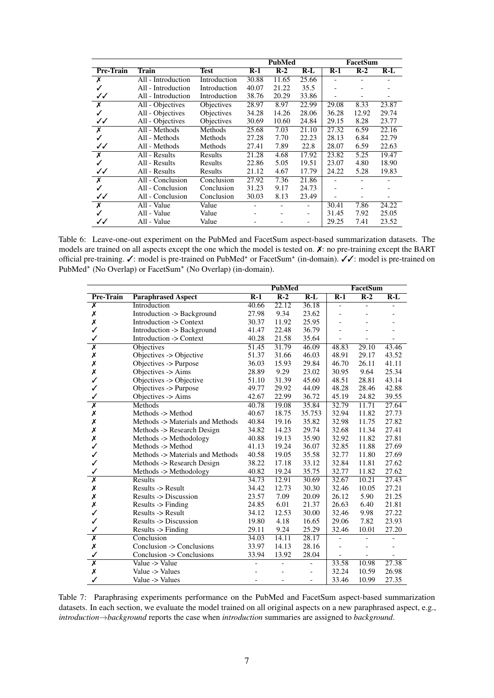<span id="page-6-0"></span>

|                  |                    |              |       | <b>PubMed</b> |       |       | FacetSum |       |
|------------------|--------------------|--------------|-------|---------------|-------|-------|----------|-------|
| <b>Pre-Train</b> | Train              | <b>Test</b>  | $R-1$ | $R-2$         | R-L   | $R-1$ | $R-2$    | $R-L$ |
| Х                | All - Introduction | Introduction | 30.88 | 11.65         | 25.66 |       |          |       |
|                  | All - Introduction | Introduction | 40.07 | 21.22         | 35.5  |       |          |       |
| ✓✓               | All - Introduction | Introduction | 38.76 | 20.29         | 33.86 |       |          |       |
| Х                | All - Objectives   | Objectives   | 28.97 | 8.97          | 22.99 | 29.08 | 8.33     | 23.87 |
| ✓                | All - Objectives   | Objectives   | 34.28 | 14.26         | 28.06 | 36.28 | 12.92    | 29.74 |
| ✓✓               | All - Objectives   | Objectives   | 30.69 | 10.60         | 24.84 | 29.15 | 8.28     | 23.77 |
| Х                | All - Methods      | Methods      | 25.68 | 7.03          | 21.10 | 27.32 | 6.59     | 22.16 |
|                  | All - Methods      | Methods      | 27.28 | 7.70          | 22.23 | 28.13 | 6.84     | 22.79 |
| ✓✓               | All - Methods      | Methods      | 27.41 | 7.89          | 22.8  | 28.07 | 6.59     | 22.63 |
| X                | All - Results      | Results      | 21.28 | 4.68          | 17.92 | 23.82 | 5.25     | 19.47 |
|                  | All - Results      | Results      | 22.86 | 5.05          | 19.51 | 23.07 | 4.80     | 18.90 |
| ✓✓               | All - Results      | Results      | 21.12 | 4.67          | 17.79 | 24.22 | 5.28     | 19.83 |
| X                | All - Conclusion   | Conclusion   | 27.92 | 7.36          | 21.86 |       |          |       |
|                  | All - Conclusion   | Conclusion   | 31.23 | 9.17          | 24.73 |       |          |       |
| ✓✓               | All - Conclusion   | Conclusion   | 30.03 | 8.13          | 23.49 |       |          |       |
| Х                | All - Value        | Value        |       |               |       | 30.41 | 7.86     | 24.22 |
|                  | All - Value        | Value        |       |               | -     | 31.45 | 7.92     | 25.05 |
| ✓✓               | All - Value        | Value        |       |               |       | 29.25 | 7.41     | 23.52 |

Table 6: Leave-one-out experiment on the PubMed and FacetSum aspect-based summarization datasets. The models are trained on all aspects except the one which the model is tested on. ✗: no pre-training except the BART official pre-training. V: model is pre-trained on PubMed<sup>\*</sup> or FacetSum<sup>\*</sup> (in-domain). VV: model is pre-trained on PubMed<sup>\*</sup> (No Overlap) or FacetSum<sup>\*</sup> (No Overlap) (in-domain).

<span id="page-6-1"></span>

|                         |                                  | <b>PubMed</b> |       |                | FacetSum                 |                              |       |  |
|-------------------------|----------------------------------|---------------|-------|----------------|--------------------------|------------------------------|-------|--|
| <b>Pre-Train</b>        | <b>Paraphrased Aspect</b>        | $R-1$         | $R-2$ | $R-L$          | $R-1$                    | $R-2$                        | $R-L$ |  |
| $\overline{\mathsf{x}}$ | Introduction                     | 40.66         | 22.12 | 36.18          | $\overline{\phantom{a}}$ | $\overline{\phantom{0}}$     |       |  |
| Х                       | Introduction -> Background       | 27.98         | 9.34  | 23.62          | $\overline{\phantom{0}}$ |                              |       |  |
| Х                       | Introduction -> Context          | 30.37         | 11.92 | 25.95          |                          |                              |       |  |
| ✓                       | Introduction -> Background       | 41.47         | 22.48 | 36.79          |                          |                              |       |  |
| ✓                       | Introduction -> Context          | 40.28         | 21.58 | 35.64          |                          |                              |       |  |
| $\overline{\mathsf{x}}$ | <b>Objectives</b>                | 51.45         | 31.79 | 46.09          | 48.83                    | 29.10                        | 43.46 |  |
| Х                       | Objectives -> Objective          | 51.37         | 31.66 | 46.03          | 48.91                    | 29.17                        | 43.52 |  |
| Х                       | Objectives -> Purpose            | 36.03         | 15.93 | 29.84          | 46.70                    | 26.11                        | 41.11 |  |
| Х                       | Objectives -> Aims               | 28.89         | 9.29  | 23.02          | 30.95                    | 9.64                         | 25.34 |  |
| $\checkmark$            | Objectives -> Objective          | 51.10         | 31.39 | 45.60          | 48.51                    | 28.81                        | 43.14 |  |
| ✓                       | Objectives -> Purpose            | 49.77         | 29.92 | 44.09          | 48.28                    | 28.46                        | 42.88 |  |
| ✓                       | Objectives -> Aims               | 42.67         | 22.99 | 36.72          | 45.19                    | 24.82                        | 39.55 |  |
| $\overline{\mathsf{x}}$ | Methods                          | 40.78         | 19.08 | 35.84          | 32.79                    | 11.71                        | 27.64 |  |
| Х                       | Methods -> Method                | 40.67         | 18.75 | 35.753         | 32.94                    | 11.82                        | 27.73 |  |
| Х                       | Methods -> Materials and Methods | 40.84         | 19.16 | 35.82          | 32.98                    | 11.75                        | 27.82 |  |
| Х                       | Methods -> Research Design       | 34.82         | 14.23 | 29.74          | 32.68                    | 11.34                        | 27.41 |  |
| Х                       | Methods -> Methodology           | 40.88         | 19.13 | 35.90          | 32.92                    | 11.82                        | 27.81 |  |
| $\checkmark$            | Methods -> Method                | 41.13         | 19.24 | 36.07          | 32.85                    | 11.88                        | 27.69 |  |
| $\checkmark$            | Methods -> Materials and Methods | 40.58         | 19.05 | 35.58          | 32.77                    | 11.80                        | 27.69 |  |
| ✓                       | Methods -> Research Design       | 38.22         | 17.18 | 33.12          | 32.84                    | 11.81                        | 27.62 |  |
| ✓                       | Methods -> Methodology           | 40.82         | 19.24 | 35.75          | 32.77                    | 11.82                        | 27.62 |  |
| $\overline{\textsf{x}}$ | <b>Results</b>                   | 34.73         | 12.91 | 30.69          | 32.67                    | 10.21                        | 27.43 |  |
| Х                       | Results -> Result                | 34.42         | 12.73 | 30.30          | 32.46                    | 10.05                        | 27.21 |  |
| X                       | Results -> Discussion            | 23.57         | 7.09  | 20.09          | 26.12                    | 5.90                         | 21.25 |  |
| Х                       | Results $\rightarrow$ Finding    | 24.85         | 6.01  | 21.37          | 26.63                    | 6.40                         | 21.81 |  |
| ✓                       | Results -> Result                | 34.12         | 12.53 | 30.00          | 32.46                    | 9.98                         | 27.22 |  |
| ✓                       | Results -> Discussion            | 19.80         | 4.18  | 16.65          | 29.06                    | 7.82                         | 23.93 |  |
| ✓                       | Results -> Finding               | 29.11         | 9.24  | 25.29          | 32.46                    | 10.01                        | 27.20 |  |
| $\overline{\textsf{x}}$ | Conclusion                       | 34.03         | 14.11 | 28.17          |                          |                              |       |  |
| Х                       | Conclusion -> Conclusions        | 33.97         | 14.13 | 28.16          |                          |                              |       |  |
| ✓                       | Conclusion -> Conclusions        | 33.94         | 13.92 | 28.04          |                          | $\qquad \qquad \blacksquare$ |       |  |
| $\overline{\mathsf{x}}$ | Value -> Value                   |               |       | $\blacksquare$ | 33.58                    | 10.98                        | 27.38 |  |
| Х                       | Value -> Values                  |               |       |                | 32.24                    | 10.59                        | 26.98 |  |
| ✓                       | Value -> Values                  |               |       |                | 33.46                    | 10.99                        | 27.35 |  |

Table 7: Paraphrasing experiments performance on the PubMed and FacetSum aspect-based summarization datasets. In each section, we evaluate the model trained on all original aspects on a new paraphrased aspect, e.g., *introduction*→*background* reports the case when *introduction* summaries are assigned to *background*.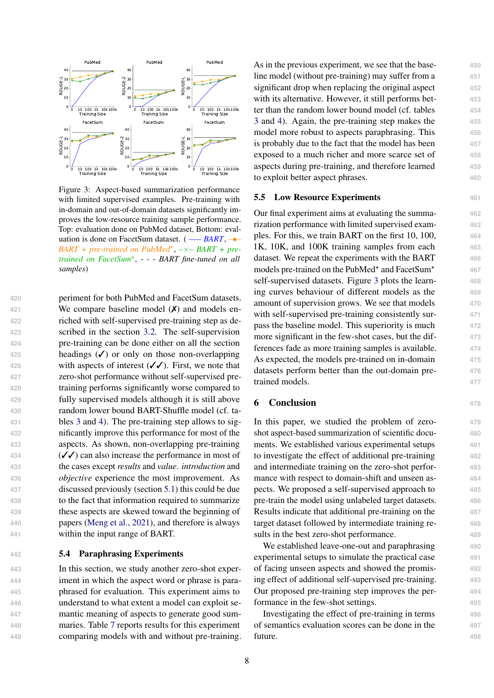<span id="page-7-0"></span>

Figure 3: Aspect-based summarization performance with limited supervised examples. Pre-training with in-domain and out-of-domain datasets significantly improves the low-resource training sample performance. Top: evaluation done on PubMed dataset, Bottom: evaluation is done on FacetSum dataset. ( —– *BART*, –•– BART + pre-trained on PubMed<sup>\*</sup>, -× – BART + pre*trained on FacetSum*<sup>⋆</sup> , - - - *BART fine-tuned on all samples*)

 periment for both PubMed and FacetSum datasets. We compare baseline model (✗) and models en- riched with self-supervised pre-training step as de- scribed in the section [3.2.](#page-2-1) The self-supervision pre-training can be done either on all the section headings (✓) or only on those non-overlapping with aspects of interest (✓✓). First, we note that zero-shot performance without self-supervised pre- training performs significantly worse compared to fully supervised models although it is still above random lower bound BART-Shuffle model (cf. ta- bles [3](#page-5-0) and [4\)](#page-5-1). The pre-training step allows to sig- nificantly improve this performance for most of the aspects. As shown, non-overlapping pre-training  $({\checkmark} {\checkmark})$  can also increase the performance in most of the cases except *results* and *value*. *introduction* and *objective* experience the most improvement. As discussed previously (section [5.1\)](#page-4-2) this could be due to the fact that information required to summarize these aspects are skewed toward the beginning of papers [\(Meng et al.,](#page-9-3) [2021\)](#page-9-3), and therefore is always within the input range of BART.

# **442** 5.4 Paraphrasing Experiments

 In this section, we study another zero-shot exper- iment in which the aspect word or phrase is para- phrased for evaluation. This experiment aims to understand to what extent a model can exploit se- mantic meaning of aspects to generate good sum- maries. Table [7](#page-6-1) reports results for this experiment comparing models with and without pre-training. As in the previous experiment, we see that the base- **450** line model (without pre-training) may suffer from a **451** significant drop when replacing the original aspect **452** with its alternative. However, it still performs bet- **453** ter than the random lower bound model (cf. tables **454** [3](#page-5-0) and [4\)](#page-5-1). Again, the pre-training step makes the **455** model more robust to aspects paraphrasing. This **456** is probably due to the fact that the model has been **457** exposed to a much richer and more scarce set of **458** aspects during pre-training, and therefore learned **459** to exploit better aspect phrases. **460**

# **5.5 Low Resource Experiments** 461

Our final experiment aims at evaluating the summa- **462** rization performance with limited supervised exam- **463** ples. For this, we train BART on the first 10, 100, **464** 1K, 10K, and 100K training samples from each **465** dataset. We repeat the experiments with the BART **466** models pre-trained on the PubMed\* and FacetSum\* self-supervised datasets. Figure [3](#page-7-0) plots the learn- **468** ing curves behaviour of different models as the **469** amount of supervision grows. We see that models **470** with self-supervised pre-training consistently sur-  $471$ pass the baseline model. This superiority is much **472** more significant in the few-shot cases, but the dif- **473** ferences fade as more training samples is available. **474** As expected, the models pre-trained on in-domain **475** datasets perform better than the out-domain pre- **476** trained models. **477**

**467**

## 6 Conclusion **<sup>478</sup>**

In this paper, we studied the problem of zero- **479** shot aspect-based summarization of scientific docu- **480** ments. We established various experimental setups **481** to investigate the effect of additional pre-training **482** and intermediate training on the zero-shot perfor- **483** mance with respect to domain-shift and unseen aspects. We proposed a self-supervised approach to **485** pre-train the model using unlabeled target datasets. **486** Results indicate that additional pre-training on the **487** target dataset followed by intermediate training re- **488** sults in the best zero-shot performance. 489

We established leave-one-out and paraphrasing **490** experimental setups to simulate the practical case **491** of facing unseen aspects and showed the promis- **492** ing effect of additional self-supervised pre-training. **493** Our proposed pre-training step improves the per- **494** formance in the few-shot settings. **495**

Investigating the effect of pre-training in terms **496** of semantics evaluation scores can be done in the **497 future.** 498

8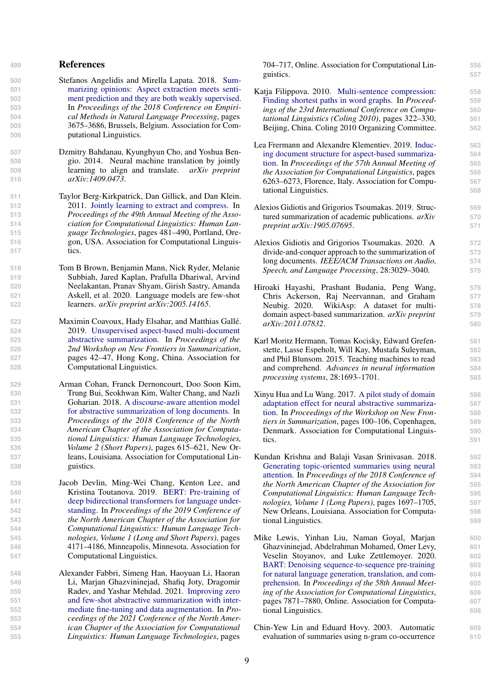#### **<sup>499</sup>** References

- <span id="page-8-10"></span>**500** [S](https://doi.org/10.18653/v1/D18-1403)tefanos Angelidis and Mirella Lapata. 2018. [Sum-](https://doi.org/10.18653/v1/D18-1403)**501** [marizing opinions: Aspect extraction meets senti-](https://doi.org/10.18653/v1/D18-1403)**502** [ment prediction and they are both weakly supervised.](https://doi.org/10.18653/v1/D18-1403) **503** In *Proceedings of the 2018 Conference on Empiri-***504** *cal Methods in Natural Language Processing*, pages **505** 3675–3686, Brussels, Belgium. Association for Com-**506** putational Linguistics.
- <span id="page-8-7"></span>**507** Dzmitry Bahdanau, Kyunghyun Cho, and Yoshua Ben-**508** gio. 2014. Neural machine translation by jointly **509** learning to align and translate. *arXiv preprint* **510** *arXiv:1409.0473*.
- <span id="page-8-6"></span>**511** Taylor Berg-Kirkpatrick, Dan Gillick, and Dan Klein. **512** 2011. [Jointly learning to extract and compress.](https://aclanthology.org/P11-1049) In **513** *Proceedings of the 49th Annual Meeting of the Asso-***514** *ciation for Computational Linguistics: Human Lan-***515** *guage Technologies*, pages 481–490, Portland, Ore-**516** gon, USA. Association for Computational Linguis-**517** tics.
- <span id="page-8-4"></span>**518** Tom B Brown, Benjamin Mann, Nick Ryder, Melanie **519** Subbiah, Jared Kaplan, Prafulla Dhariwal, Arvind **520** Neelakantan, Pranav Shyam, Girish Sastry, Amanda **521** Askell, et al. 2020. Language models are few-shot **522** learners. *arXiv preprint arXiv:2005.14165*.
- <span id="page-8-15"></span>**523** Maximin Coavoux, Hady Elsahar, and Matthias Gallé. **524** 2019. [Unsupervised aspect-based multi-document](https://doi.org/10.18653/v1/D19-5405) **525** [abstractive summarization.](https://doi.org/10.18653/v1/D19-5405) In *Proceedings of the* **526** *2nd Workshop on New Frontiers in Summarization*, **527** pages 42–47, Hong Kong, China. Association for **528** Computational Linguistics.
- <span id="page-8-0"></span>**529** Arman Cohan, Franck Dernoncourt, Doo Soon Kim, **530** Trung Bui, Seokhwan Kim, Walter Chang, and Nazli **531** Goharian. 2018. [A discourse-aware attention model](https://doi.org/10.18653/v1/N18-2097) **532** [for abstractive summarization of long documents.](https://doi.org/10.18653/v1/N18-2097) In **533** *Proceedings of the 2018 Conference of the North* **534** *American Chapter of the Association for Computa-***535** *tional Linguistics: Human Language Technologies,* **536** *Volume 2 (Short Papers)*, pages 615–621, New Or-**537** leans, Louisiana. Association for Computational Lin-**538** guistics.
- <span id="page-8-3"></span>**539** Jacob Devlin, Ming-Wei Chang, Kenton Lee, and **540** Kristina Toutanova. 2019. [BERT: Pre-training of](https://doi.org/10.18653/v1/N19-1423) **541** [deep bidirectional transformers for language under-](https://doi.org/10.18653/v1/N19-1423)**542** [standing.](https://doi.org/10.18653/v1/N19-1423) In *Proceedings of the 2019 Conference of* **543** *the North American Chapter of the Association for* **544** *Computational Linguistics: Human Language Tech-***545** *nologies, Volume 1 (Long and Short Papers)*, pages **546** 4171–4186, Minneapolis, Minnesota. Association for **547** Computational Linguistics.
- <span id="page-8-16"></span>**548** Alexander Fabbri, Simeng Han, Haoyuan Li, Haoran **549** Li, Marjan Ghazvininejad, Shafiq Joty, Dragomir **550** Radev, and Yashar Mehdad. 2021. [Improving zero](https://doi.org/10.18653/v1/2021.naacl-main.57) **551** [and few-shot abstractive summarization with inter-](https://doi.org/10.18653/v1/2021.naacl-main.57)**552** [mediate fine-tuning and data augmentation.](https://doi.org/10.18653/v1/2021.naacl-main.57) In *Pro-***553** *ceedings of the 2021 Conference of the North Amer-***554** *ican Chapter of the Association for Computational* **555** *Linguistics: Human Language Technologies*, pages

704–717, Online. Association for Computational Lin- **556** guistics. **557**

- <span id="page-8-5"></span>[K](https://aclanthology.org/C10-1037)atja Filippova. 2010. [Multi-sentence compression:](https://aclanthology.org/C10-1037) **558** [Finding shortest paths in word graphs.](https://aclanthology.org/C10-1037) In *Proceed-* **559** *ings of the 23rd International Conference on Compu-* **560** *tational Linguistics (Coling 2010)*, pages 322–330, **561** Beijing, China. Coling 2010 Organizing Committee. **562**
- <span id="page-8-11"></span>[L](https://doi.org/10.18653/v1/P19-1630)ea Frermann and Alexandre Klementiev. 2019. [Induc-](https://doi.org/10.18653/v1/P19-1630) **563** [ing document structure for aspect-based summariza-](https://doi.org/10.18653/v1/P19-1630) **564** [tion.](https://doi.org/10.18653/v1/P19-1630) In *Proceedings of the 57th Annual Meeting of* **565** *the Association for Computational Linguistics*, pages **566** 6263–6273, Florence, Italy. Association for Compu- **567** tational Linguistics. **568**
- <span id="page-8-8"></span>Alexios Gidiotis and Grigorios Tsoumakas. 2019. Struc- **569** tured summarization of academic publications. *arXiv* **570** *preprint arXiv:1905.07695*. **571**
- <span id="page-8-9"></span>Alexios Gidiotis and Grigorios Tsoumakas. 2020. A **572** divide-and-conquer approach to the summarization of **573** long documents. *IEEE/ACM Transactions on Audio,* **574** *Speech, and Language Processing*, 28:3029–3040. **575**
- <span id="page-8-13"></span>Hiroaki Hayashi, Prashant Budania, Peng Wang, **576** Chris Ackerson, Raj Neervannan, and Graham **577** Neubig. 2020. WikiAsp: A dataset for multi- **578** domain aspect-based summarization. *arXiv preprint* **579** *arXiv:2011.07832*. **580**
- <span id="page-8-1"></span>Karl Moritz Hermann, Tomas Kocisky, Edward Grefen- **581** stette, Lasse Espeholt, Will Kay, Mustafa Suleyman, **582** and Phil Blunsom. 2015. Teaching machines to read **583** and comprehend. *Advances in neural information* **584** *processing systems*, 28:1693–1701. **585**
- <span id="page-8-14"></span>[X](https://doi.org/10.18653/v1/W17-4513)inyu Hua and Lu Wang. 2017. [A pilot study of domain](https://doi.org/10.18653/v1/W17-4513) **586** [adaptation effect for neural abstractive summariza-](https://doi.org/10.18653/v1/W17-4513) **587** [tion.](https://doi.org/10.18653/v1/W17-4513) In *Proceedings of the Workshop on New Fron-* **588** *tiers in Summarization*, pages 100–106, Copenhagen, **589** Denmark. Association for Computational Linguis- **590** tics. **591**
- <span id="page-8-12"></span>Kundan Krishna and Balaji Vasan Srinivasan. 2018. **592** [Generating topic-oriented summaries using neural](https://doi.org/10.18653/v1/N18-1153) **593** [attention.](https://doi.org/10.18653/v1/N18-1153) In *Proceedings of the 2018 Conference of* **594** *the North American Chapter of the Association for* **595** *Computational Linguistics: Human Language Tech-* **596** *nologies, Volume 1 (Long Papers)*, pages 1697–1705, **597** New Orleans, Louisiana. Association for Computa- **598** tional Linguistics. **599**
- <span id="page-8-2"></span>Mike Lewis, Yinhan Liu, Naman Goyal, Marjan **600** Ghazvininejad, Abdelrahman Mohamed, Omer Levy, **601** Veselin Stoyanov, and Luke Zettlemoyer. 2020. **602** [BART: Denoising sequence-to-sequence pre-training](https://doi.org/10.18653/v1/2020.acl-main.703) **603** [for natural language generation, translation, and com-](https://doi.org/10.18653/v1/2020.acl-main.703) **604** [prehension.](https://doi.org/10.18653/v1/2020.acl-main.703) In *Proceedings of the 58th Annual Meet-* **605** *ing of the Association for Computational Linguistics*, **606** pages 7871–7880, Online. Association for Computa- **607** tional Linguistics. **608**
- <span id="page-8-17"></span>Chin-Yew Lin and Eduard Hovy. 2003. Automatic **609** evaluation of summaries using n-gram co-occurrence **610**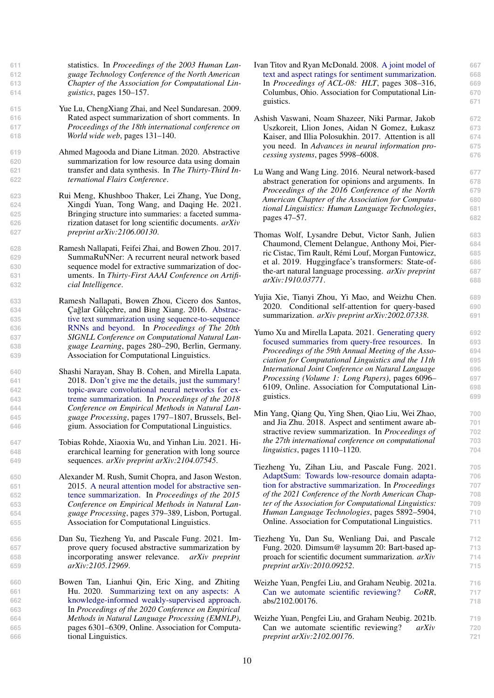statistics. In *Proceedings of the 2003 Human Lan- guage Technology Conference of the North American Chapter of the Association for Computational Lin-guistics*, pages 150–157.

- <span id="page-9-12"></span>**615** Yue Lu, ChengXiang Zhai, and Neel Sundaresan. 2009. **616** Rated aspect summarization of short comments. In **617** *Proceedings of the 18th international conference on* **618** *World wide web*, pages 131–140.
- <span id="page-9-18"></span>**619** Ahmed Magooda and Diane Litman. 2020. Abstractive **620** summarization for low resource data using domain **621** transfer and data synthesis. In *The Thirty-Third In-***622** *ternational Flairs Conference*.
- <span id="page-9-3"></span>**623** Rui Meng, Khushboo Thaker, Lei Zhang, Yue Dong, **624** Xingdi Yuan, Tong Wang, and Daqing He. 2021. **625** Bringing structure into summaries: a faceted summa-**626** rization dataset for long scientific documents. *arXiv* **627** *preprint arXiv:2106.00130*.
- <span id="page-9-20"></span>**628** Ramesh Nallapati, Feifei Zhai, and Bowen Zhou. 2017. **629** SummaRuNNer: A recurrent neural network based **630** sequence model for extractive summarization of doc-**631** uments. In *Thirty-First AAAI Conference on Artifi-***632** *cial Intelligence*.
- <span id="page-9-6"></span>**633** Ramesh Nallapati, Bowen Zhou, Cicero dos Santos, 634 **Çağlar Gülçehre, and Bing Xiang. 2016.** [Abstrac-](https://doi.org/10.18653/v1/K16-1028)**635** [tive text summarization using sequence-to-sequence](https://doi.org/10.18653/v1/K16-1028) **636** [RNNs and beyond.](https://doi.org/10.18653/v1/K16-1028) In *Proceedings of The 20th* **637** *SIGNLL Conference on Computational Natural Lan-***638** *guage Learning*, pages 280–290, Berlin, Germany. **639** Association for Computational Linguistics.
- <span id="page-9-0"></span>**640** Shashi Narayan, Shay B. Cohen, and Mirella Lapata. **641** 2018. [Don't give me the details, just the summary!](https://doi.org/10.18653/v1/D18-1206) **642** [topic-aware convolutional neural networks for ex-](https://doi.org/10.18653/v1/D18-1206)**643** [treme summarization.](https://doi.org/10.18653/v1/D18-1206) In *Proceedings of the 2018* **644** *Conference on Empirical Methods in Natural Lan-***645** *guage Processing*, pages 1797–1807, Brussels, Bel-**646** gium. Association for Computational Linguistics.
- <span id="page-9-10"></span>**647** Tobias Rohde, Xiaoxia Wu, and Yinhan Liu. 2021. Hi-**648** erarchical learning for generation with long source **649** sequences. *arXiv preprint arXiv:2104.07545*.
- <span id="page-9-5"></span>**650** Alexander M. Rush, Sumit Chopra, and Jason Weston. **651** 2015. [A neural attention model for abstractive sen-](https://doi.org/10.18653/v1/D15-1044)**652** [tence summarization.](https://doi.org/10.18653/v1/D15-1044) In *Proceedings of the 2015* **653** *Conference on Empirical Methods in Natural Lan-***654** *guage Processing*, pages 379–389, Lisbon, Portugal. **655** Association for Computational Linguistics.
- <span id="page-9-17"></span>**656** Dan Su, Tiezheng Yu, and Pascale Fung. 2021. Im-**657** prove query focused abstractive summarization by **658** incorporating answer relevance. *arXiv preprint* **659** *arXiv:2105.12969*.
- <span id="page-9-16"></span>**660** Bowen Tan, Lianhui Qin, Eric Xing, and Zhiting **661** Hu. 2020. [Summarizing text on any aspects: A](https://doi.org/10.18653/v1/2020.emnlp-main.510) **662** [knowledge-informed weakly-supervised approach.](https://doi.org/10.18653/v1/2020.emnlp-main.510) **663** In *Proceedings of the 2020 Conference on Empirical* **664** *Methods in Natural Language Processing (EMNLP)*, **665** pages 6301–6309, Online. Association for Computa-**666** tional Linguistics.
- <span id="page-9-11"></span>[I](https://aclanthology.org/P08-1036)van Titov and Ryan McDonald. 2008. [A joint model of](https://aclanthology.org/P08-1036) **667** [text and aspect ratings for sentiment summarization.](https://aclanthology.org/P08-1036) **668** In *Proceedings of ACL-08: HLT*, pages 308–316, **669** Columbus, Ohio. Association for Computational Lin- **670** guistics. 671
- <span id="page-9-7"></span>Ashish Vaswani, Noam Shazeer, Niki Parmar, Jakob **672** Uszkoreit, Llion Jones, Aidan N Gomez, Łukasz **673** Kaiser, and Illia Polosukhin. 2017. Attention is all **674** you need. In *Advances in neural information pro-* **675** *cessing systems*, pages 5998–6008. **676**
- <span id="page-9-14"></span>Lu Wang and Wang Ling. 2016. Neural network-based **677** abstract generation for opinions and arguments. In **678** *Proceedings of the 2016 Conference of the North* **679** *American Chapter of the Association for Computa-* **680** *tional Linguistics: Human Language Technologies*, **681** pages 47–57. **682**
- <span id="page-9-19"></span>Thomas Wolf, Lysandre Debut, Victor Sanh, Julien **683** Chaumond, Clement Delangue, Anthony Moi, Pier- **684** ric Cistac, Tim Rault, Rémi Louf, Morgan Funtowicz, **685** et al. 2019. Huggingface's transformers: State-of- **686** the-art natural language processing. *arXiv preprint* **687** *arXiv:1910.03771*. **688**
- <span id="page-9-8"></span>Yujia Xie, Tianyi Zhou, Yi Mao, and Weizhu Chen. **689** 2020. Conditional self-attention for query-based **690** summarization. *arXiv preprint arXiv:2002.07338*. **691**
- <span id="page-9-15"></span>[Y](https://doi.org/10.18653/v1/2021.acl-long.475)umo Xu and Mirella Lapata. 2021. [Generating query](https://doi.org/10.18653/v1/2021.acl-long.475) **692** [focused summaries from query-free resources.](https://doi.org/10.18653/v1/2021.acl-long.475) In **693** *Proceedings of the 59th Annual Meeting of the Asso-* **694** *ciation for Computational Linguistics and the 11th* **695** *International Joint Conference on Natural Language* **696** *Processing (Volume 1: Long Papers)*, pages 6096– **697** 6109, Online. Association for Computational Lin- **698** guistics. **699**
- <span id="page-9-13"></span>Min Yang, Qiang Qu, Ying Shen, Qiao Liu, Wei Zhao, **700** and Jia Zhu. 2018. Aspect and sentiment aware ab- **701** stractive review summarization. In *Proceedings of* **702** *the 27th international conference on computational* **703** *linguistics*, pages 1110–1120. **704**
- <span id="page-9-4"></span>Tiezheng Yu, Zihan Liu, and Pascale Fung. 2021. **705** [AdaptSum: Towards low-resource domain adapta-](https://doi.org/10.18653/v1/2021.naacl-main.471) **706** [tion for abstractive summarization.](https://doi.org/10.18653/v1/2021.naacl-main.471) In *Proceedings* **707** *of the 2021 Conference of the North American Chap-* **708** *ter of the Association for Computational Linguistics:* **709** *Human Language Technologies*, pages 5892–5904, **710** Online. Association for Computational Linguistics. **711**
- <span id="page-9-1"></span>Tiezheng Yu, Dan Su, Wenliang Dai, and Pascale **712** Fung. 2020. Dimsum@ laysumm 20: Bart-based ap- **713** proach for scientific document summarization. *arXiv* **714** *preprint arXiv:2010.09252*. **715**
- <span id="page-9-2"></span>Weizhe Yuan, Pengfei Liu, and Graham Neubig. 2021a. **716** [Can we automate scientific reviewing?](https://arxiv.org/abs/2102.00176) *CoRR*, **717** abs/2102.00176. **718**
- <span id="page-9-9"></span>Weizhe Yuan, Pengfei Liu, and Graham Neubig. 2021b. **719** Can we automate scientific reviewing? *arXiv* **720** *preprint arXiv:2102.00176*. **721**